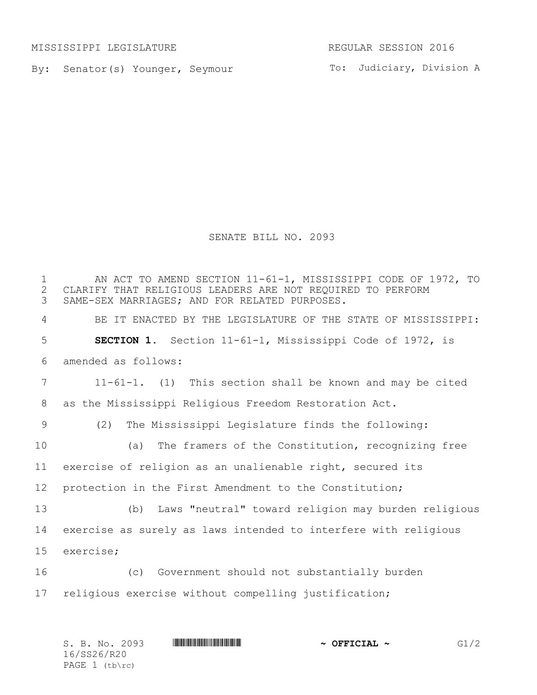MISSISSIPPI LEGISLATURE REGULAR SESSION 2016

By: Senator(s) Younger, Seymour

To: Judiciary, Division A

SENATE BILL NO. 2093

1 AN ACT TO AMEND SECTION 11-61-1, MISSISSIPPI CODE OF 1972, TO<br>2 CLARIFY THAT RELIGIOUS LEADERS ARE NOT REOUIRED TO PERFORM 2 CLARIFY THAT RELIGIOUS LEADERS ARE NOT REQUIRED TO PERFORM<br>3 SAME-SEX MARRIAGES; AND FOR RELATED PURPOSES. SAME-SEX MARRIAGES; AND FOR RELATED PURPOSES. BE IT ENACTED BY THE LEGISLATURE OF THE STATE OF MISSISSIPPI: **SECTION 1.** Section 11-61-1, Mississippi Code of 1972, is amended as follows: 11-61-1. (1) This section shall be known and may be cited as the Mississippi Religious Freedom Restoration Act. (2) The Mississippi Legislature finds the following: (a) The framers of the Constitution, recognizing free exercise of religion as an unalienable right, secured its protection in the First Amendment to the Constitution; (b) Laws "neutral" toward religion may burden religious exercise as surely as laws intended to interfere with religious exercise; (c) Government should not substantially burden religious exercise without compelling justification;

| S. B. No. 2093   | <u> Indian American American Indian American Indian American Indian American Indian American Indian American India</u> | $\sim$ OFFICIAL $\sim$ | G1/2 |
|------------------|------------------------------------------------------------------------------------------------------------------------|------------------------|------|
| 16/SS26/R20      |                                                                                                                        |                        |      |
| PAGE $1$ (tb\rc) |                                                                                                                        |                        |      |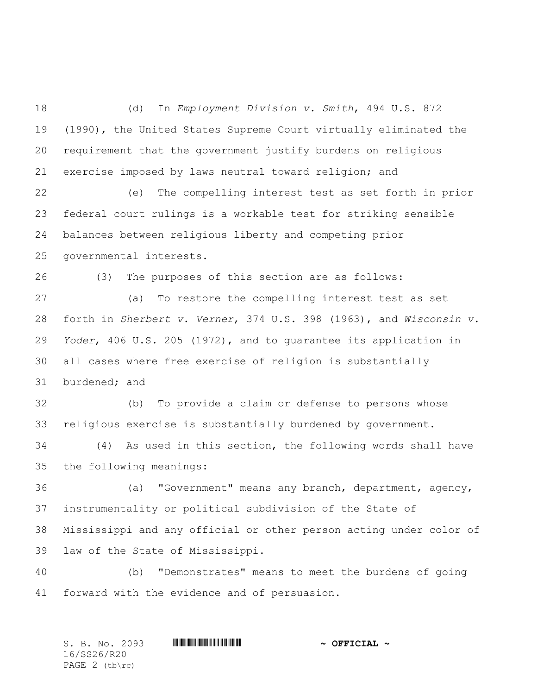(d) In *Employment Division v. Smith*, 494 U.S. 872 (1990), the United States Supreme Court virtually eliminated the requirement that the government justify burdens on religious exercise imposed by laws neutral toward religion; and

 (e) The compelling interest test as set forth in prior federal court rulings is a workable test for striking sensible balances between religious liberty and competing prior governmental interests.

(3) The purposes of this section are as follows:

 (a) To restore the compelling interest test as set forth in *Sherbert v. Verner*, 374 U.S. 398 (1963), and *Wisconsin v. Yoder*, 406 U.S. 205 (1972), and to guarantee its application in all cases where free exercise of religion is substantially burdened; and

 (b) To provide a claim or defense to persons whose religious exercise is substantially burdened by government.

 (4) As used in this section, the following words shall have the following meanings:

 (a) "Government" means any branch, department, agency, instrumentality or political subdivision of the State of Mississippi and any official or other person acting under color of law of the State of Mississippi.

 (b) "Demonstrates" means to meet the burdens of going forward with the evidence and of persuasion.

S. B. No. 2093 **\*\*\* A SECOVER A MILLE A SECOVER A POST OF FICIAL ~** 16/SS26/R20 PAGE 2 (tb\rc)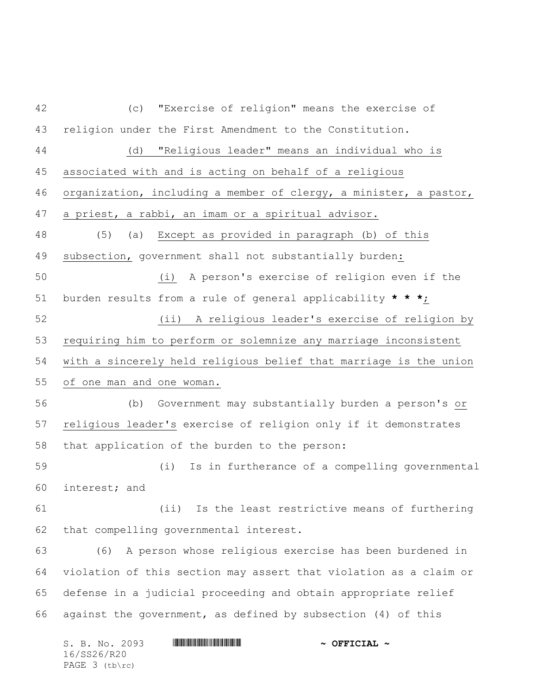(c) "Exercise of religion" means the exercise of religion under the First Amendment to the Constitution. (d) "Religious leader" means an individual who is associated with and is acting on behalf of a religious organization, including a member of clergy, a minister, a pastor, a priest, a rabbi, an imam or a spiritual advisor. (5) (a) Except as provided in paragraph (b) of this subsection, government shall not substantially burden: (i) A person's exercise of religion even if the burden results from a rule of general applicability **\* \* \***; (ii) A religious leader's exercise of religion by requiring him to perform or solemnize any marriage inconsistent with a sincerely held religious belief that marriage is the union of one man and one woman. (b) Government may substantially burden a person's or religious leader's exercise of religion only if it demonstrates that application of the burden to the person: (i) Is in furtherance of a compelling governmental interest; and (ii) Is the least restrictive means of furthering that compelling governmental interest. (6) A person whose religious exercise has been burdened in violation of this section may assert that violation as a claim or defense in a judicial proceeding and obtain appropriate relief against the government, as defined by subsection (4) of this

| S. B. No. 2093   | <u> Harry Harry Harry Harry Harry Harry Harry Harry Harry Harry Harry Harry Harry Harry Harry Harry Harry Harry H</u> | $\sim$ OFFICIAL $\sim$ |
|------------------|-----------------------------------------------------------------------------------------------------------------------|------------------------|
| 16/SS26/R20      |                                                                                                                       |                        |
| PAGE $3$ (tb\rc) |                                                                                                                       |                        |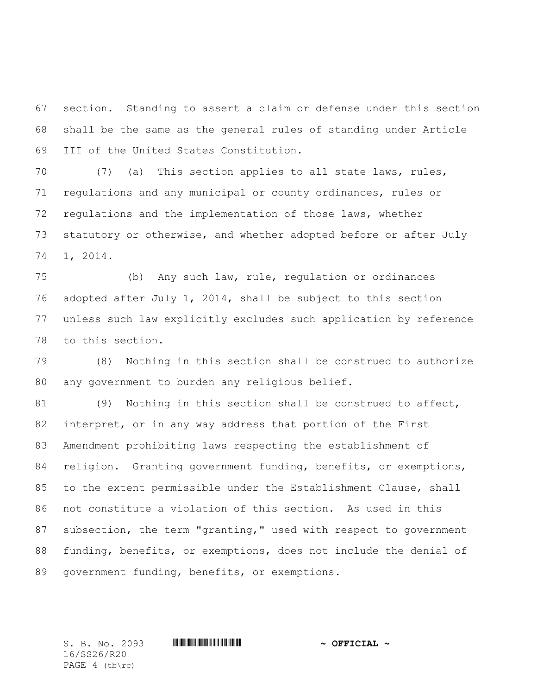section. Standing to assert a claim or defense under this section shall be the same as the general rules of standing under Article III of the United States Constitution.

 (7) (a) This section applies to all state laws, rules, regulations and any municipal or county ordinances, rules or regulations and the implementation of those laws, whether statutory or otherwise, and whether adopted before or after July 1, 2014.

 (b) Any such law, rule, regulation or ordinances adopted after July 1, 2014, shall be subject to this section unless such law explicitly excludes such application by reference to this section.

 (8) Nothing in this section shall be construed to authorize any government to burden any religious belief.

 (9) Nothing in this section shall be construed to affect, interpret, or in any way address that portion of the First Amendment prohibiting laws respecting the establishment of 84 religion. Granting government funding, benefits, or exemptions, to the extent permissible under the Establishment Clause, shall not constitute a violation of this section. As used in this subsection, the term "granting," used with respect to government funding, benefits, or exemptions, does not include the denial of government funding, benefits, or exemptions.

16/SS26/R20 PAGE 4 (tb\rc)

S. B. No. 2093 \*SS26/R20\* **~ OFFICIAL ~**